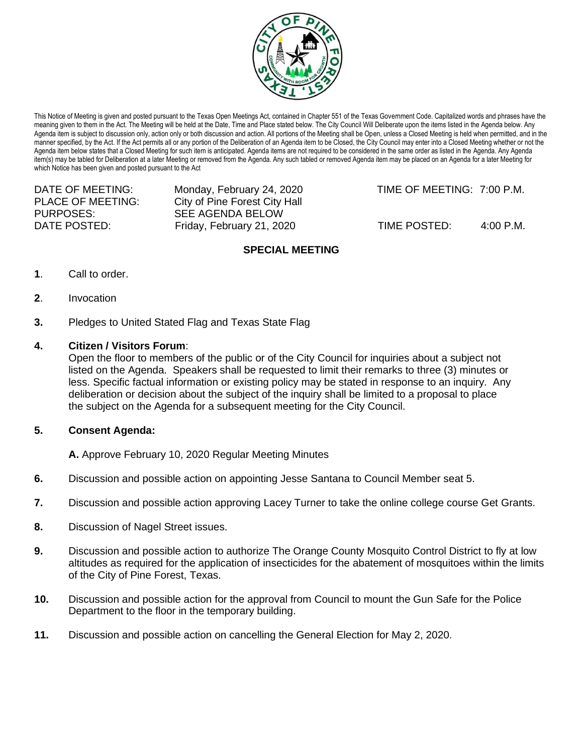

This Notice of Meeting is given and posted pursuant to the Texas Open Meetings Act, contained in Chapter 551 of the Texas Government Code. Capitalized words and phrases have the meaning given to them in the Act. The Meeting will be held at the Date, Time and Place stated below. The City Council Will Deliberate upon the items listed in the Agenda below. Any Agenda item is subject to discussion only, action only or both discussion and action. All portions of the Meeting shall be Open, unless a Closed Meeting is held when permitted, and in the manner specified, by the Act. If the Act permits all or any portion of the Deliberation of an Agenda item to be Closed, the City Council may enter into a Closed Meeting whether or not the Agenda item below states that a Closed Meeting for such item is anticipated. Agenda items are not required to be considered in the same order as listed in the Agenda. Any Agenda item(s) may be tabled for Deliberation at a later Meeting or removed from the Agenda. Any such tabled or removed Agenda item may be placed on an Agenda for a later Meeting for which Notice has been given and posted pursuant to the Act

| DATE OF MEETING:  | Monday, February 24, 2020     |
|-------------------|-------------------------------|
| PLACE OF MEETING: | City of Pine Forest City Hall |
| PURPOSES:         | SEE AGENDA BELOW              |
| DATE POSTED:      | Friday, February 21, 2020     |
|                   |                               |

TIME OF MEETING: 7:00 P.M.

TIME POSTED: 4:00 P.M.

# **SPECIAL MEETING**

- **1**. Call to order.
- **2**. Invocation
- **3.** Pledges to United Stated Flag and Texas State Flag

## **4. Citizen / Visitors Forum**:

Open the floor to members of the public or of the City Council for inquiries about a subject not listed on the Agenda. Speakers shall be requested to limit their remarks to three (3) minutes or less. Specific factual information or existing policy may be stated in response to an inquiry. Any deliberation or decision about the subject of the inquiry shall be limited to a proposal to place the subject on the Agenda for a subsequent meeting for the City Council.

## **5. Consent Agenda:**

**A.** Approve February 10, 2020 Regular Meeting Minutes

- **6.** Discussion and possible action on appointing Jesse Santana to Council Member seat 5.
- **7.** Discussion and possible action approving Lacey Turner to take the online college course Get Grants.
- **8.** Discussion of Nagel Street issues.
- **9.** Discussion and possible action to authorize The Orange County Mosquito Control District to fly at low altitudes as required for the application of insecticides for the abatement of mosquitoes within the limits of the City of Pine Forest, Texas.
- **10.** Discussion and possible action for the approval from Council to mount the Gun Safe for the Police Department to the floor in the temporary building.
- **11.** Discussion and possible action on cancelling the General Election for May 2, 2020.